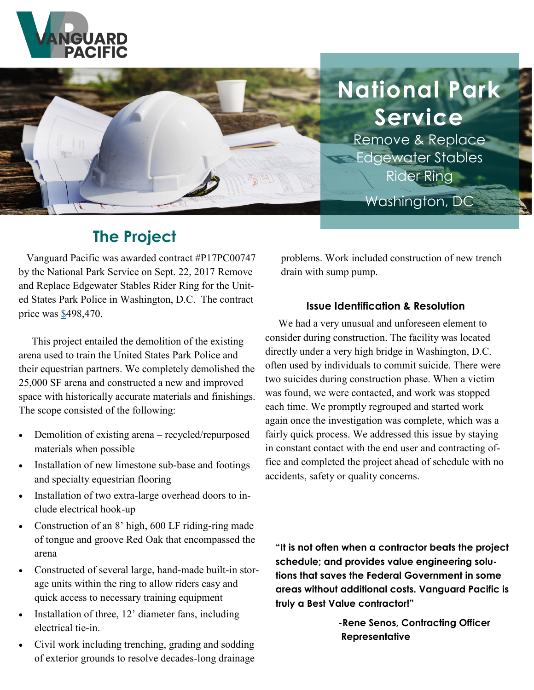



# **The Project**

 Vanguard Pacific was awarded contract #P17PC00747 by the National Park Service on Sept. 22, 2017 Remove and Replace Edgewater Stables Rider Ring for the United States Park Police in Washington, D.C. The contract price was \$498,470.

 This project entailed the demolition of the existing arena used to train the United States Park Police and their equestrian partners. We completely demolished the 25,000 SF arena and constructed a new and improved space with historically accurate materials and finishings. The scope consisted of the following:

- Demolition of existing arena recycled/repurposed materials when possible
- Installation of new limestone sub-base and footings and specialty equestrian flooring
- Installation of two extra-large overhead doors to include electrical hook-up
- Construction of an 8' high, 600 LF riding-ring made of tongue and groove Red Oak that encompassed the arena
- Constructed of several large, hand-made built-in storage units within the ring to allow riders easy and quick access to necessary training equipment
- Installation of three, 12' diameter fans, including electrical tie-in.
- Civil work including trenching, grading and sodding of exterior grounds to resolve decades-long drainage

problems. Work included construction of new trench drain with sump pump.

**National Park**

**Service**

Remove & Replace

Edgewater Stables

Washington, DC

Rider Ring

#### **Issue Identification & Resolution**

 We had a very unusual and unforeseen element to consider during construction. The facility was located directly under a very high bridge in Washington, D.C. often used by individuals to commit suicide. There were two suicides during construction phase. When a victim was found, we were contacted, and work was stopped each time. We promptly regrouped and started work again once the investigation was complete, which was a fairly quick process. We addressed this issue by staying in constant contact with the end user and contracting office and completed the project ahead of schedule with no accidents, safety or quality concerns.

**"It is not often when a contractor beats the project schedule; and provides value engineering solutions that saves the Federal Government in some areas without additional costs. Vanguard Pacific is truly a Best Value contractor!"**

> **-Rene Senos, Contracting Officer Representative**